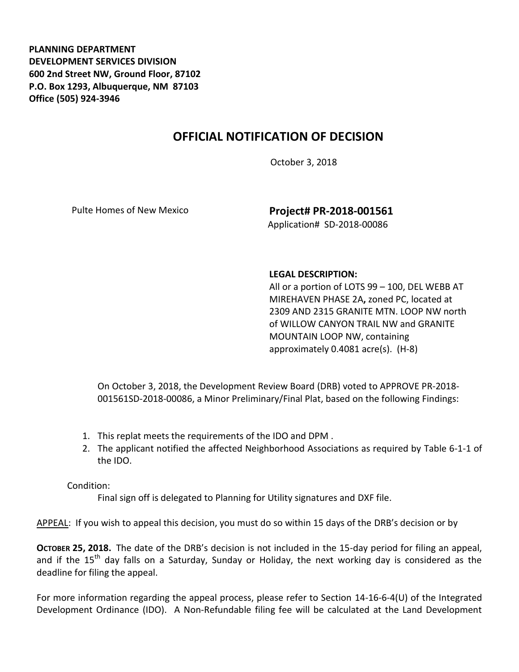**PLANNING DEPARTMENT DEVELOPMENT SERVICES DIVISION 600 2nd Street NW, Ground Floor, 87102 P.O. Box 1293, Albuquerque, NM 87103 Office (505) 924-3946** 

## **OFFICIAL NOTIFICATION OF DECISION**

October 3, 2018

Pulte Homes of New Mexico **Project# PR-2018-001561** Application# SD-2018-00086

## **LEGAL DESCRIPTION:**

All or a portion of LOTS 99 – 100, DEL WEBB AT MIREHAVEN PHASE 2A**,** zoned PC, located at 2309 AND 2315 GRANITE MTN. LOOP NW north of WILLOW CANYON TRAIL NW and GRANITE MOUNTAIN LOOP NW, containing approximately 0.4081 acre(s). (H-8)

On October 3, 2018, the Development Review Board (DRB) voted to APPROVE PR-2018- 001561SD-2018-00086, a Minor Preliminary/Final Plat, based on the following Findings:

- 1. This replat meets the requirements of the IDO and DPM .
- 2. The applicant notified the affected Neighborhood Associations as required by Table 6-1-1 of the IDO.

Condition:

Final sign off is delegated to Planning for Utility signatures and DXF file.

APPEAL: If you wish to appeal this decision, you must do so within 15 days of the DRB's decision or by

**OCTOBER 25, 2018.** The date of the DRB's decision is not included in the 15-day period for filing an appeal, and if the 15<sup>th</sup> day falls on a Saturday, Sunday or Holiday, the next working day is considered as the deadline for filing the appeal.

For more information regarding the appeal process, please refer to Section 14-16-6-4(U) of the Integrated Development Ordinance (IDO). A Non-Refundable filing fee will be calculated at the Land Development